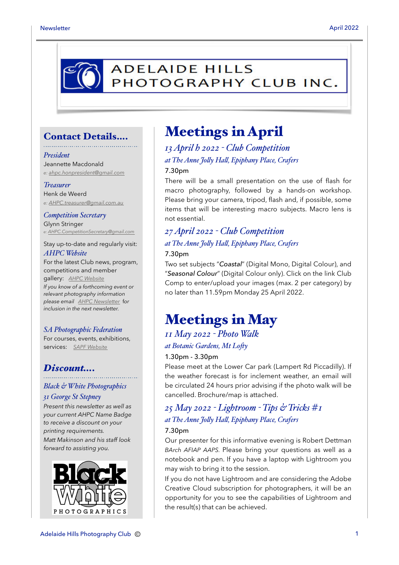

### Contact Details….

#### *President*

Jeannette Macdonald *e: [ahpc.honpresident@gmail.com](mailto:ahpc.honpresident@gmail.com)*

#### *Treasurer*

Henk de Weerd *e: [AHPC.treasurer@gmail.com.au](mailto:AHPC.treasurer@gmail.com.au)*

*Competition Secretary* Glynn Stringer *e: [AHPC.CompetitionSecretary@gmail.com](mailto:AHPC.CompetitionSecretary@gmail.com)*

Stay up-to-date and regularly visit: *AHPC Website*

For the latest Club news, program, competitions and member gallery: *[AHPC Website](http://www.adelaidehillsphotographyclub.com.au) If you know of a forthcoming event or relevant photography information please email [AHPC Newsletter](mailto:AHPC.newsletter@gmail.com)* f*or inclusion in the next newsletter.* 

#### *SA Photographic Federation*

For courses, events, exhibitions, services: *[SAPF Website](https://www.sapf.org.au)*

### *Discount….*

## *Black & White Photographics*

#### *31 George St Stepney*

*Present this newsletter as well as your current AHPC Name Badge to receive a discount on your printing requirements. Matt Makinson and his staff look forward to assisting you.*



## Meetings in April

*13 April h 2022 - Club Competition at The Anne Jo"y Ha", Epiphany Place, Crafers* 7.30pm

There will be a small presentation on the use of flash for macro photography, followed by a hands-on workshop. Please bring your camera, tripod, flash and, if possible, some items that will be interesting macro subjects. Macro lens is not essential.

### *27 April 2022 - Club Competition at The Anne Jo"y Ha", Epiphany Place, Crafers* 7.30pm

Two set subjects "*Coastal*" (Digital Mono, Digital Colour), and "*Seasonal Colour*" (Digital Colour only). Click on the link Club Comp to enter/upload your images (max. 2 per category) by no later than 11.59pm Monday 25 April 2022.

## Meetings in May

### *11 May 2022 - Photo Walk at Botanic Gardens, Mt Lo#y*

#### 1.30pm - 3.30pm

Please meet at the Lower Car park (Lampert Rd Piccadilly). If the weather forecast is for inclement weather, an email will be circulated 24 hours prior advising if the photo walk will be cancelled. Brochure/map is attached.

### *25 May 2022 - Lightroom - Tips & Tricks #1 at The Anne Jo"y Ha", Epiphany Place, Crafers* 7.30pm

Our presenter for this informative evening is Robert Dettman *BArch AFIAP AAPS.* Please bring your questions as well as a notebook and pen. If you have a laptop with Lightroom you may wish to bring it to the session.

If you do not have Lightroom and are considering the Adobe Creative Cloud subscription for photographers, it will be an opportunity for you to see the capabilities of Lightroom and the result(s) that can be achieved.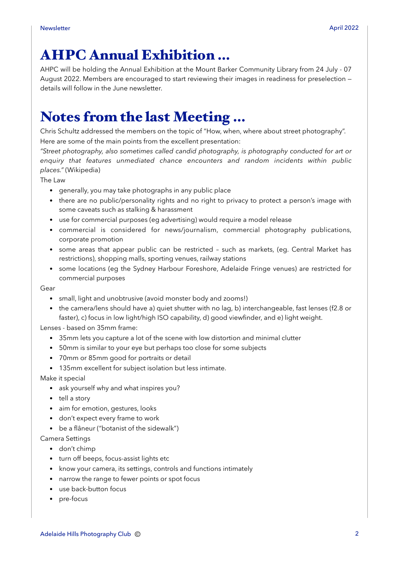# AHPC Annual Exhibition …

AHPC will be holding the Annual Exhibition at the Mount Barker Community Library from 24 July - 07 August 2022. Members are encouraged to start reviewing their images in readiness for preselection details will follow in the June newsletter.

## Notes from the last Meeting …

Chris Schultz addressed the members on the topic of "How, when, where about street photography". Here are some of the main points from the excellent presentation:

*"Street photography, also sometimes called candid photography, is photography conducted for art or enquiry that features unmediated chance encounters and random incidents within public places."* (Wikipedia)

The Law

- generally, you may take photographs in any public place
- there are no public/personality rights and no right to privacy to protect a person's image with some caveats such as stalking & harassment
- use for commercial purposes (eq advertising) would require a model release
- commercial is considered for news/journalism, commercial photography publications, corporate promotion
- some areas that appear public can be restricted such as markets, (eg. Central Market has restrictions), shopping malls, sporting venues, railway stations
- some locations (eg the Sydney Harbour Foreshore, Adelaide Fringe venues) are restricted for commercial purposes

Gear

- small, light and unobtrusive (avoid monster body and zooms!)
- the camera/lens should have a) quiet shutter with no lag, b) interchangeable, fast lenses (f2.8 or faster), c) focus in low light/high ISO capability, d) good viewfinder, and e) light weight.

Lenses - based on 35mm frame:

- 35mm lets you capture a lot of the scene with low distortion and minimal clutter
- 50mm is similar to your eye but perhaps too close for some subjects
- 70mm or 85mm good for portraits or detail
- 135mm excellent for subject isolation but less intimate.

Make it special

- ask yourself why and what inspires you?
- tell a story
- aim for emotion, gestures, looks
- don't expect every frame to work
- be a flâneur ("botanist of the sidewalk")

Camera Settings

- don't chimp
- turn off beeps, focus-assist lights etc
- know your camera, its settings, controls and functions intimately
- narrow the range to fewer points or spot focus
- use back-button focus
- pre-focus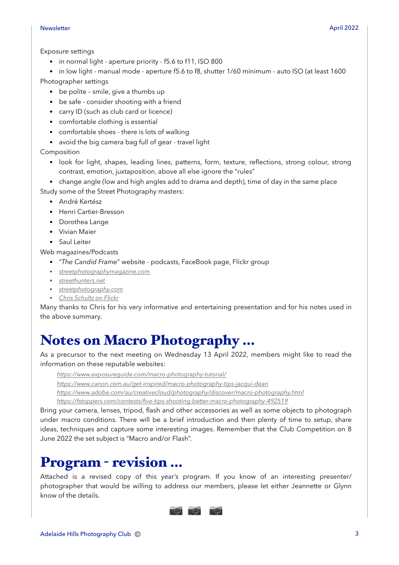- in normal light aperture priority f5.6 to f11, ISO 800
- in low light manual mode aperture f5.6 to f8, shutter 1/60 minimum auto ISO (at least 1600
- Photographer settings
	- be polite smile, give a thumbs up
	- be safe consider shooting with a friend
	- carry ID (such as club card or licence)
	- comfortable clothing is essential
	- comfortable shoes there is lots of walking
	- avoid the big camera bag full of gear travel light

Composition

- look for light, shapes, leading lines, patterns, form, texture, reflections, strong colour, strong contrast, emotion, juxtaposition, above all else ignore the "rules"
- change angle (low and high angles add to drama and depth), time of day in the same place Study some of the Street Photography masters:
	- André Kertész
	- Henri Cartier-Bresson
	- Dorothea Lange
	- Vivian Maier
	- Saul Leiter

Web magazines/Podcasts

- "*The Candid Frame*" website podcasts, FaceBook page, Flickr group
- *• [streetphotographymagazine.com](http://streetphotographymagazine.com)*
- *• [streethunters.net](http://streethunters.net)*
- *• [streetphotography.com](http://streetphotography.com)*
- *• [Chris Schultz on Flickr](http://www.flickr.com/photos/chris_schultz/)*

Many thanks to Chris for his very informative and entertaining presentation and for his notes used in the above summary.

## Notes on Macro Photography …

As a precursor to the next meeting on Wednesday 13 April 2022, members might like to read the information on these reputable websites:

*<https://www.exposureguide.com/macro-photography-tutorial/>*

*<https://www.canon.com.au/get-inspired/macro-photography-tips-jacqui-dean>*

*<https://www.adobe.com/au/creativecloud/photography/discover/macro-photography.html>*

*<https://fstoppers.com/contests/five-tips-shooting-better-macro-photography-492519>*

Bring your camera, lenses, tripod, flash and other accessories as well as some objects to photograph under macro conditions. There will be a brief introduction and then plenty of time to setup, share ideas, techniques and capture some interesting images. Remember that the Club Competition on 8 June 2022 the set subject is "Macro and/or Flash".

## Program - revision …

Attached is a revised copy of this year's program. If you know of an interesting presenter/ photographer that would be willing to address our members, please let either Jeannette or Glynn know of the details.